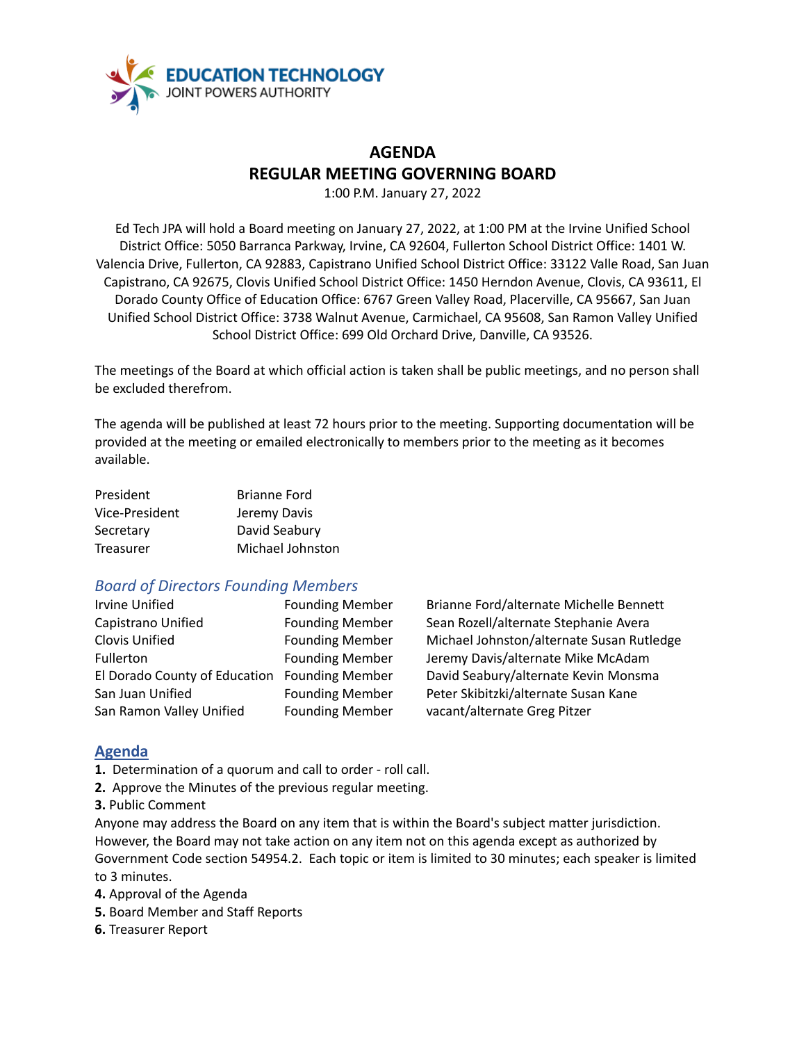

# **AGENDA REGULAR MEETING GOVERNING BOARD**

1:00 P.M. January 27, 2022

Ed Tech JPA will hold a Board meeting on January 27, 2022, at 1:00 PM at the Irvine Unified School District Office: 5050 Barranca Parkway, Irvine, CA 92604, Fullerton School District Office: 1401 W. Valencia Drive, Fullerton, CA 92883, Capistrano Unified School District Office: 33122 Valle Road, San Juan Capistrano, CA 92675, Clovis Unified School District Office: 1450 Herndon Avenue, Clovis, CA 93611, El Dorado County Office of Education Office: 6767 Green Valley Road, Placerville, CA 95667, San Juan Unified School District Office: 3738 Walnut Avenue, Carmichael, CA 95608, San Ramon Valley Unified School District Office: 699 Old Orchard Drive, Danville, CA 93526.

The meetings of the Board at which official action is taken shall be public meetings, and no person shall be excluded therefrom.

The agenda will be published at least 72 hours prior to the meeting. Supporting documentation will be provided at the meeting or emailed electronically to members prior to the meeting as it becomes available.

| President      | <b>Brianne Ford</b> |
|----------------|---------------------|
| Vice-President | Jeremy Davis        |
| Secretary      | David Seabury       |
| Treasurer      | Michael Johnston    |

## *Board of Directors Founding Members*

| <b>Irvine Unified</b>                        | <b>Founding Membe</b> |
|----------------------------------------------|-----------------------|
| Capistrano Unified                           | <b>Founding Membe</b> |
| Clovis Unified                               | <b>Founding Membe</b> |
| Fullerton                                    | <b>Founding Membe</b> |
| El Dorado County of Education Founding Membe |                       |
| San Juan Unified                             | <b>Founding Membe</b> |
| San Ramon Valley Unified                     | <b>Founding Membe</b> |

Irving Brianne Ford/alternate Michelle Bennett r Sean Rozell/alternate Stephanie Avera r Michael Johnston/alternate Susan Rutledge r Jeremy Davis/alternate Mike McAdam El Dorado County of Education Founding Member David Seabury/alternate Kevin Monsma er Peter Skibitzki/alternate Susan Kane er vacant/alternate Greg Pitzer

### **Agenda**

**1.** Determination of a quorum and call to order - roll call.

- **2.** Approve the Minutes of the previous regular meeting.
- **3.** Public Comment

Anyone may address the Board on any item that is within the Board's subject matter jurisdiction. However, the Board may not take action on any item not on this agenda except as authorized by Government Code section 54954.2. Each topic or item is limited to 30 minutes; each speaker is limited to 3 minutes.

**4.** Approval of the Agenda

- **5.** Board Member and Staff Reports
- **6.** Treasurer Report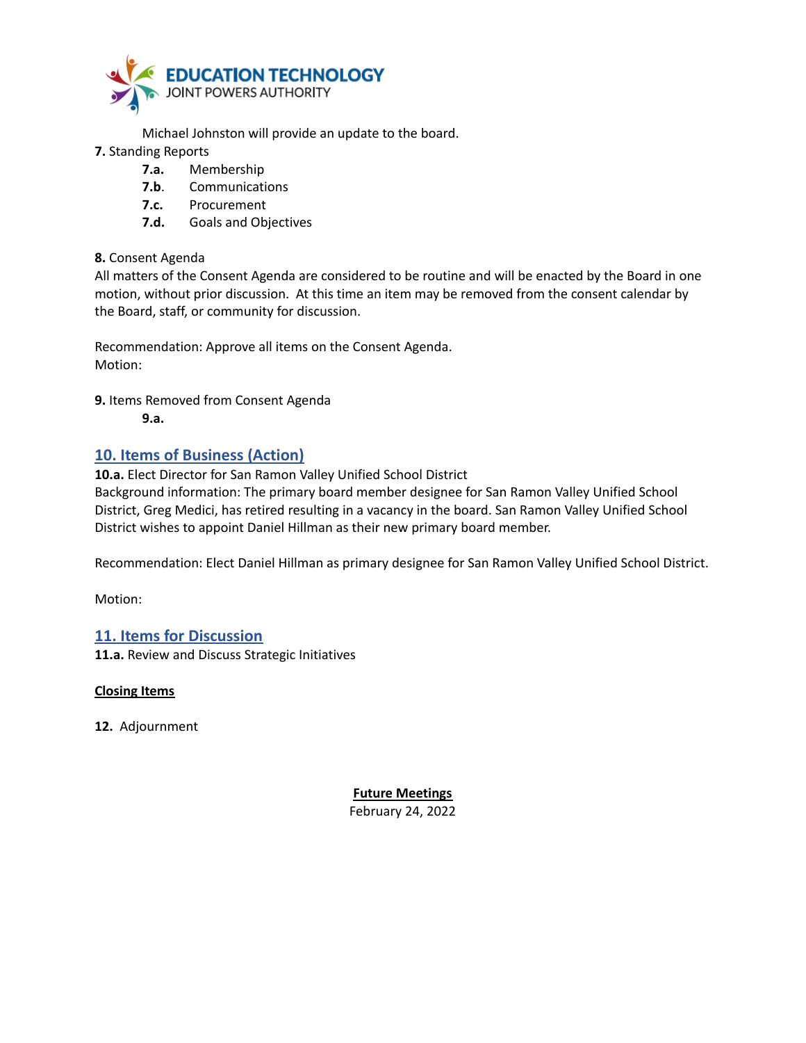

Michael Johnston will provide an update to the board.

- **7.** Standing Reports
	- **7.a.** Membership
	- **7.b**. Communications
	- **7.c.** Procurement
	- **7.d.** Goals and Objectives

#### **8.** Consent Agenda

All matters of the Consent Agenda are considered to be routine and will be enacted by the Board in one motion, without prior discussion. At this time an item may be removed from the consent calendar by the Board, staff, or community for discussion.

Recommendation: Approve all items on the Consent Agenda. Motion:

**9.** Items Removed from Consent Agenda

**9.a.**

### **10. Items of Business (Action)**

**10.a.** Elect Director for San Ramon Valley Unified School District

Background information: The primary board member designee for San Ramon Valley Unified School District, Greg Medici, has retired resulting in a vacancy in the board. San Ramon Valley Unified School District wishes to appoint Daniel Hillman as their new primary board member.

Recommendation: Elect Daniel Hillman as primary designee for San Ramon Valley Unified School District.

Motion:

#### **11. Items for Discussion**

**11.a.** Review and Discuss Strategic Initiatives

**Closing Items**

**12.** Adjournment

**Future Meetings** February 24, 2022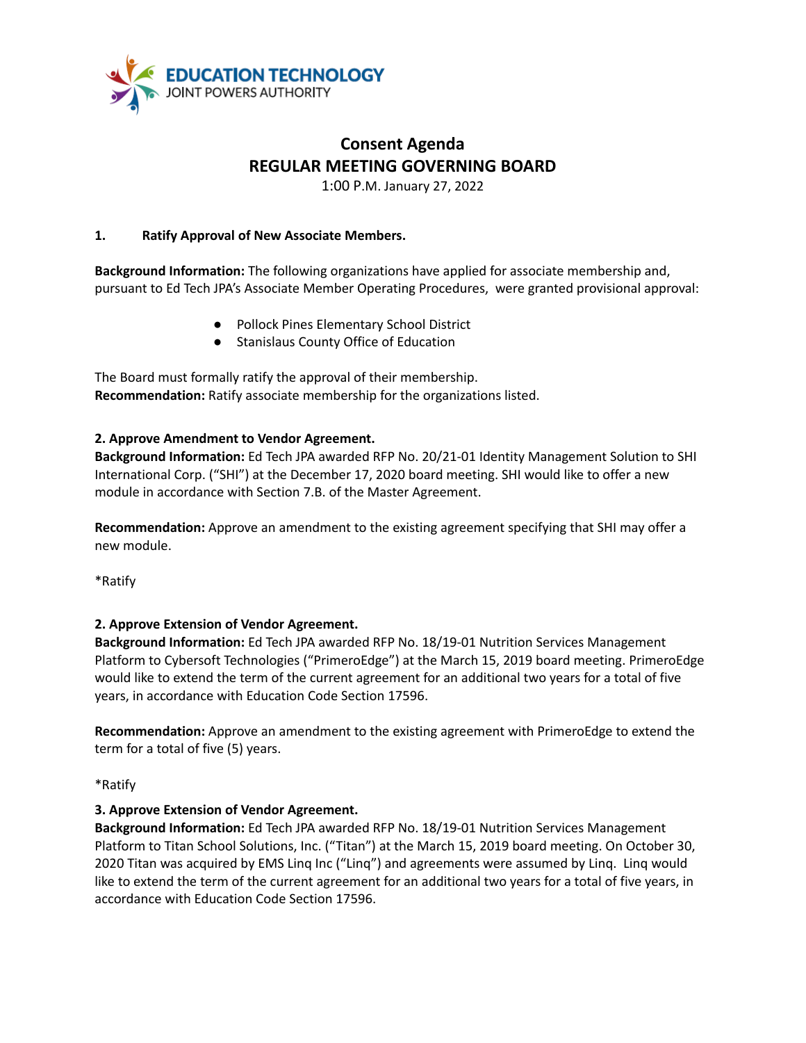

# **Consent Agenda REGULAR MEETING GOVERNING BOARD**

1:00 P.M. January 27, 2022

#### **1. Ratify Approval of New Associate Members.**

**Background Information:** The following organizations have applied for associate membership and, pursuant to Ed Tech JPA's Associate Member Operating Procedures, were granted provisional approval:

- Pollock Pines Elementary School District
- Stanislaus County Office of Education

The Board must formally ratify the approval of their membership. **Recommendation:** Ratify associate membership for the organizations listed.

#### **2. Approve Amendment to Vendor Agreement.**

**Background Information:** Ed Tech JPA awarded RFP No. 20/21-01 Identity Management Solution to SHI International Corp. ("SHI") at the December 17, 2020 board meeting. SHI would like to offer a new module in accordance with Section 7.B. of the Master Agreement.

**Recommendation:** Approve an amendment to the existing agreement specifying that SHI may offer a new module.

\*Ratify

#### **2. Approve Extension of Vendor Agreement.**

**Background Information:** Ed Tech JPA awarded RFP No. 18/19-01 Nutrition Services Management Platform to Cybersoft Technologies ("PrimeroEdge") at the March 15, 2019 board meeting. PrimeroEdge would like to extend the term of the current agreement for an additional two years for a total of five years, in accordance with Education Code Section 17596.

**Recommendation:** Approve an amendment to the existing agreement with PrimeroEdge to extend the term for a total of five (5) years.

\*Ratify

#### **3. Approve Extension of Vendor Agreement.**

**Background Information:** Ed Tech JPA awarded RFP No. 18/19-01 Nutrition Services Management Platform to Titan School Solutions, Inc. ("Titan") at the March 15, 2019 board meeting. On October 30, 2020 Titan was acquired by EMS Linq Inc ("Linq") and agreements were assumed by Linq. Linq would like to extend the term of the current agreement for an additional two years for a total of five years, in accordance with Education Code Section 17596.